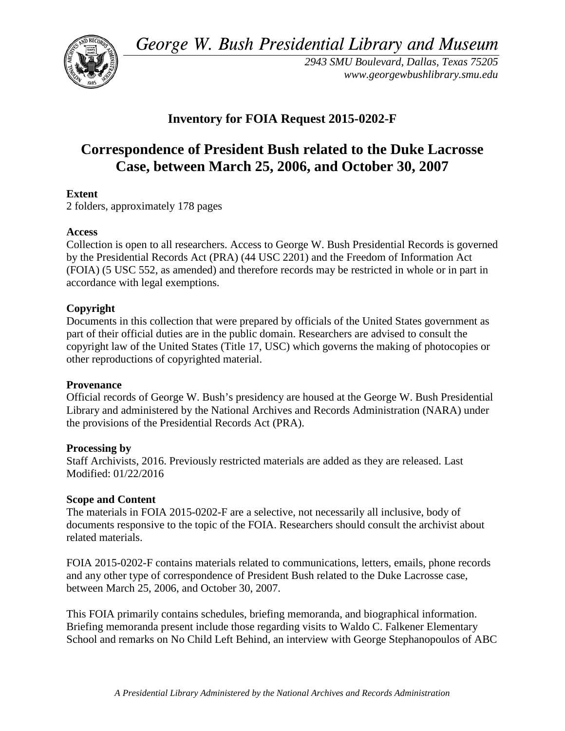*George W. Bush Presidential Library and Museum* 



*2943 SMU Boulevard, Dallas, Texas 75205 <www.georgewbushlibrary.smu.edu>*

# **Inventory for FOIA Request 2015-0202-F**

# **Correspondence of President Bush related to the Duke Lacrosse Case, between March 25, 2006, and October 30, 2007**

## **Extent**

2 folders, approximately 178 pages

### **Access**

 by the Presidential Records Act (PRA) (44 USC 2201) and the Freedom of Information Act Collection is open to all researchers. Access to George W. Bush Presidential Records is governed (FOIA) (5 USC 552, as amended) and therefore records may be restricted in whole or in part in accordance with legal exemptions.

### **Copyright**

 Documents in this collection that were prepared by officials of the United States government as part of their official duties are in the public domain. Researchers are advised to consult the copyright law of the United States (Title 17, USC) which governs the making of photocopies or other reproductions of copyrighted material.

### **Provenance**

 Official records of George W. Bush's presidency are housed at the George W. Bush Presidential Library and administered by the National Archives and Records Administration (NARA) under the provisions of the Presidential Records Act (PRA).

### **Processing by**

 Staff Archivists, 2016. Previously restricted materials are added as they are released. Last Modified: 01/22/2016

### **Scope and Content**

The materials in FOIA 2015-0202-F are a selective, not necessarily all inclusive, body of documents responsive to the topic of the FOIA. Researchers should consult the archivist about related materials.

FOIA 2015-0202-F contains materials related to communications, letters, emails, phone records and any other type of correspondence of President Bush related to the Duke Lacrosse case, between March 25, 2006, and October 30, 2007.

This FOIA primarily contains schedules, briefing memoranda, and biographical information. Briefing memoranda present include those regarding visits to Waldo C. Falkener Elementary School and remarks on No Child Left Behind, an interview with George Stephanopoulos of ABC